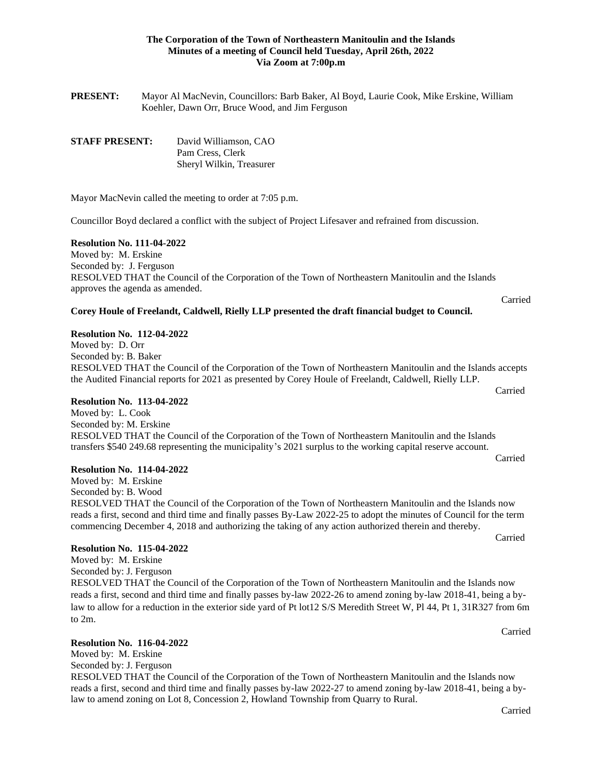## **The Corporation of the Town of Northeastern Manitoulin and the Islands Minutes of a meeting of Council held Tuesday, April 26th, 2022 Via Zoom at 7:00p.m**

**PRESENT:** Mayor Al MacNevin, Councillors: Barb Baker, Al Boyd, Laurie Cook, Mike Erskine, William Koehler, Dawn Orr, Bruce Wood, and Jim Ferguson

| <b>STAFF PRESENT:</b> | David Williamson, CAO    |
|-----------------------|--------------------------|
|                       | Pam Cress, Clerk         |
|                       | Sheryl Wilkin, Treasurer |

Mayor MacNevin called the meeting to order at 7:05 p.m.

Councillor Boyd declared a conflict with the subject of Project Lifesaver and refrained from discussion.

#### **Resolution No. 111-04-2022**

Moved by: M. Erskine Seconded by: J. Ferguson RESOLVED THAT the Council of the Corporation of the Town of Northeastern Manitoulin and the Islands approves the agenda as amended.

## **Corey Houle of Freelandt, Caldwell, Rielly LLP presented the draft financial budget to Council.**

#### **Resolution No. 112-04-2022**

Moved by: D. Orr Seconded by: B. Baker RESOLVED THAT the Council of the Corporation of the Town of Northeastern Manitoulin and the Islands accepts the Audited Financial reports for 2021 as presented by Corey Houle of Freelandt, Caldwell, Rielly LLP.

### **Resolution No. 113-04-2022**

Moved by: L. Cook Seconded by: M. Erskine RESOLVED THAT the Council of the Corporation of the Town of Northeastern Manitoulin and the Islands transfers \$540 249.68 representing the municipality's 2021 surplus to the working capital reserve account.

#### **Resolution No. 114-04-2022**

Moved by: M. Erskine Seconded by: B. Wood RESOLVED THAT the Council of the Corporation of the Town of Northeastern Manitoulin and the Islands now reads a first, second and third time and finally passes By-Law 2022-25 to adopt the minutes of Council for the term commencing December 4, 2018 and authorizing the taking of any action authorized therein and thereby.

#### **Resolution No. 115-04-2022**

Moved by: M. Erskine Seconded by: J. Ferguson RESOLVED THAT the Council of the Corporation of the Town of Northeastern Manitoulin and the Islands now reads a first, second and third time and finally passes by-law 2022-26 to amend zoning by-law 2018-41, being a bylaw to allow for a reduction in the exterior side yard of Pt lot12 S/S Meredith Street W, Pl 44, Pt 1, 31R327 from 6m to 2m.

### **Resolution No. 116-04-2022**

Moved by: M. Erskine Seconded by: J. Ferguson RESOLVED THAT the Council of the Corporation of the Town of Northeastern Manitoulin and the Islands now reads a first, second and third time and finally passes by-law 2022-27 to amend zoning by-law 2018-41, being a bylaw to amend zoning on Lot 8, Concession 2, Howland Township from Quarry to Rural.

Carried

Carried

Carried

Carried

Carried

Carried